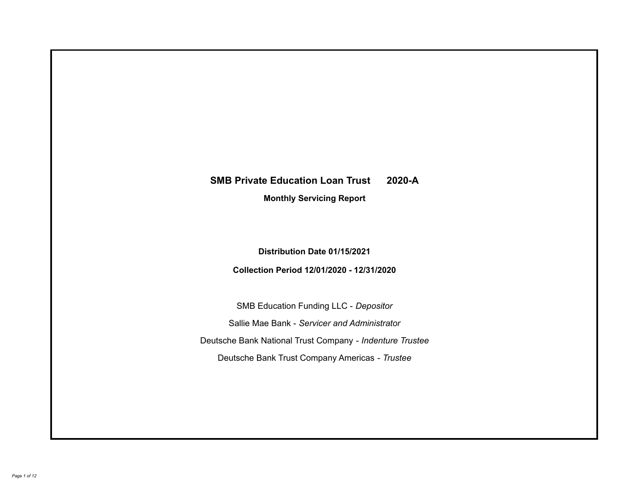# **SMB Private Education Loan Trust 2020-A Monthly Servicing Report**

# **Distribution Date 01/15/2021**

# **Collection Period 12/01/2020 - 12/31/2020**

SMB Education Funding LLC - *Depositor* Sallie Mae Bank - *Servicer and Administrator* Deutsche Bank National Trust Company - *Indenture Trustee* Deutsche Bank Trust Company Americas - *Trustee*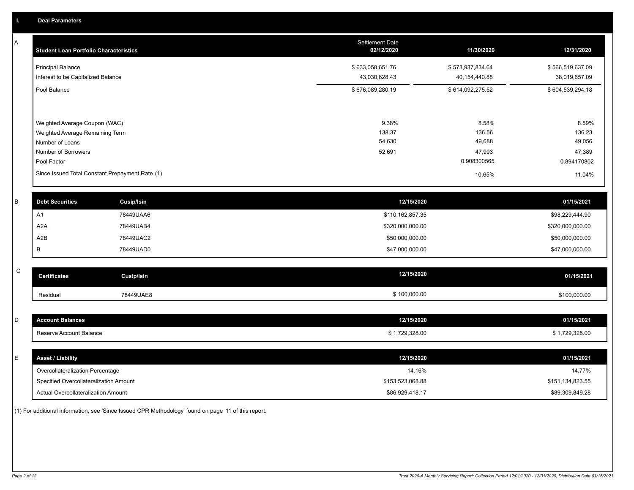A

| <b>Principal Balance</b><br>Interest to be Capitalized Balance<br>Pool Balance<br>Weighted Average Coupon (WAC)<br>Weighted Average Remaining Term |                     | \$633,058,651.76<br>43,030,628.43<br>\$676,089,280.19                | \$573,937,834.64<br>40,154,440.88<br>\$614,092,275.52 | \$566,519,637.09<br>38,019,657.09<br>\$604,539,294.18                                                  |
|----------------------------------------------------------------------------------------------------------------------------------------------------|---------------------|----------------------------------------------------------------------|-------------------------------------------------------|--------------------------------------------------------------------------------------------------------|
|                                                                                                                                                    |                     |                                                                      |                                                       |                                                                                                        |
|                                                                                                                                                    |                     |                                                                      |                                                       |                                                                                                        |
|                                                                                                                                                    |                     |                                                                      |                                                       |                                                                                                        |
|                                                                                                                                                    |                     | 9.38%                                                                | 8.58%                                                 | 8.59%                                                                                                  |
|                                                                                                                                                    |                     | 138.37                                                               | 136.56                                                | 136.23                                                                                                 |
| Number of Loans                                                                                                                                    |                     | 54,630                                                               | 49,688                                                | 49,056                                                                                                 |
| Number of Borrowers                                                                                                                                |                     | 52,691                                                               | 47,993                                                | 47,389                                                                                                 |
| Pool Factor                                                                                                                                        |                     |                                                                      | 0.908300565                                           | 0.894170802                                                                                            |
|                                                                                                                                                    |                     |                                                                      | 10.65%                                                | 11.04%                                                                                                 |
| <b>Debt Securities</b>                                                                                                                             | Cusip/Isin          |                                                                      |                                                       | 01/15/2021                                                                                             |
| A1                                                                                                                                                 | 78449UAA6           |                                                                      |                                                       | \$98,229,444.90                                                                                        |
| A2A                                                                                                                                                | 78449UAB4           |                                                                      |                                                       | \$320,000,000.00                                                                                       |
| A2B                                                                                                                                                | 78449UAC2           |                                                                      |                                                       | \$50,000,000.00                                                                                        |
| в                                                                                                                                                  | 78449UAD0           |                                                                      |                                                       | \$47,000,000.00                                                                                        |
|                                                                                                                                                    |                     |                                                                      |                                                       | 01/15/2021                                                                                             |
|                                                                                                                                                    | <b>Certificates</b> | Since Issued Total Constant Prepayment Rate (1)<br><b>Cusip/Isin</b> |                                                       | 12/15/2020<br>\$110,162,857.35<br>\$320,000,000.00<br>\$50,000,000.00<br>\$47,000,000.00<br>12/15/2020 |

| ∣C. | <b>Certificates</b>     | Cusip/Isin | 12/15/2020     | 01/15/2021     |
|-----|-------------------------|------------|----------------|----------------|
|     | Residual                | 78449UAE8  | \$100,000.00   | \$100,000.00   |
|     |                         |            |                |                |
| I D | <b>Account Balances</b> |            | 12/15/2020     | 01/15/2021     |
|     | Reserve Account Balance |            | \$1,729,328.00 | \$1,729,328.00 |

| ┕ | <b>Asset / Liability</b>               | 12/15/2020       | 01/15/2021       |
|---|----------------------------------------|------------------|------------------|
|   | Overcollateralization Percentage       | 14.16%           | 14.77%           |
|   | Specified Overcollateralization Amount | \$153,523,068.88 | \$151,134,823.55 |
|   | Actual Overcollateralization Amount    | \$86,929,418.17  | \$89,309,849.28  |

(1) For additional information, see 'Since Issued CPR Methodology' found on page 11 of this report.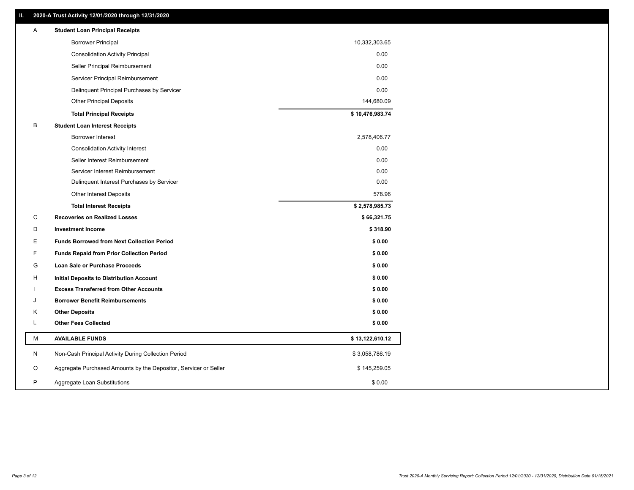| <b>Borrower Principal</b><br>10,332,303.65<br>0.00<br><b>Consolidation Activity Principal</b><br>0.00<br>Seller Principal Reimbursement<br>0.00<br>Servicer Principal Reimbursement<br>0.00<br>Delinquent Principal Purchases by Servicer<br><b>Other Principal Deposits</b><br>144,680.09<br>\$10,476,983.74<br><b>Total Principal Receipts</b><br>В<br><b>Student Loan Interest Receipts</b><br><b>Borrower Interest</b><br>2,578,406.77<br>0.00<br><b>Consolidation Activity Interest</b><br>Seller Interest Reimbursement<br>0.00<br>0.00<br>Servicer Interest Reimbursement<br>0.00<br>Delinquent Interest Purchases by Servicer<br>578.96<br>Other Interest Deposits<br>\$2,578,985.73<br><b>Total Interest Receipts</b><br>С<br><b>Recoveries on Realized Losses</b><br>\$66,321.75<br>D<br><b>Investment Income</b><br>\$318.90<br>Ε<br><b>Funds Borrowed from Next Collection Period</b><br>\$0.00<br>F<br>\$0.00<br><b>Funds Repaid from Prior Collection Period</b><br>G<br>\$0.00<br>Loan Sale or Purchase Proceeds<br>\$0.00<br>H<br>Initial Deposits to Distribution Account<br><b>Excess Transferred from Other Accounts</b><br>\$0.00<br><b>Borrower Benefit Reimbursements</b><br>\$0.00<br>J<br><b>Other Deposits</b><br>\$0.00<br>Κ<br>L<br><b>Other Fees Collected</b><br>\$0.00<br>М<br><b>AVAILABLE FUNDS</b><br>\$13,122,610.12<br>N<br>Non-Cash Principal Activity During Collection Period<br>\$3,058,786.19<br>Aggregate Purchased Amounts by the Depositor, Servicer or Seller<br>O<br>\$145,259.05<br>P<br>Aggregate Loan Substitutions<br>\$0.00 | Α | <b>Student Loan Principal Receipts</b> |  |
|-------------------------------------------------------------------------------------------------------------------------------------------------------------------------------------------------------------------------------------------------------------------------------------------------------------------------------------------------------------------------------------------------------------------------------------------------------------------------------------------------------------------------------------------------------------------------------------------------------------------------------------------------------------------------------------------------------------------------------------------------------------------------------------------------------------------------------------------------------------------------------------------------------------------------------------------------------------------------------------------------------------------------------------------------------------------------------------------------------------------------------------------------------------------------------------------------------------------------------------------------------------------------------------------------------------------------------------------------------------------------------------------------------------------------------------------------------------------------------------------------------------------------------------------------------------------------------|---|----------------------------------------|--|
|                                                                                                                                                                                                                                                                                                                                                                                                                                                                                                                                                                                                                                                                                                                                                                                                                                                                                                                                                                                                                                                                                                                                                                                                                                                                                                                                                                                                                                                                                                                                                                               |   |                                        |  |
|                                                                                                                                                                                                                                                                                                                                                                                                                                                                                                                                                                                                                                                                                                                                                                                                                                                                                                                                                                                                                                                                                                                                                                                                                                                                                                                                                                                                                                                                                                                                                                               |   |                                        |  |
|                                                                                                                                                                                                                                                                                                                                                                                                                                                                                                                                                                                                                                                                                                                                                                                                                                                                                                                                                                                                                                                                                                                                                                                                                                                                                                                                                                                                                                                                                                                                                                               |   |                                        |  |
|                                                                                                                                                                                                                                                                                                                                                                                                                                                                                                                                                                                                                                                                                                                                                                                                                                                                                                                                                                                                                                                                                                                                                                                                                                                                                                                                                                                                                                                                                                                                                                               |   |                                        |  |
|                                                                                                                                                                                                                                                                                                                                                                                                                                                                                                                                                                                                                                                                                                                                                                                                                                                                                                                                                                                                                                                                                                                                                                                                                                                                                                                                                                                                                                                                                                                                                                               |   |                                        |  |
|                                                                                                                                                                                                                                                                                                                                                                                                                                                                                                                                                                                                                                                                                                                                                                                                                                                                                                                                                                                                                                                                                                                                                                                                                                                                                                                                                                                                                                                                                                                                                                               |   |                                        |  |
|                                                                                                                                                                                                                                                                                                                                                                                                                                                                                                                                                                                                                                                                                                                                                                                                                                                                                                                                                                                                                                                                                                                                                                                                                                                                                                                                                                                                                                                                                                                                                                               |   |                                        |  |
|                                                                                                                                                                                                                                                                                                                                                                                                                                                                                                                                                                                                                                                                                                                                                                                                                                                                                                                                                                                                                                                                                                                                                                                                                                                                                                                                                                                                                                                                                                                                                                               |   |                                        |  |
|                                                                                                                                                                                                                                                                                                                                                                                                                                                                                                                                                                                                                                                                                                                                                                                                                                                                                                                                                                                                                                                                                                                                                                                                                                                                                                                                                                                                                                                                                                                                                                               |   |                                        |  |
|                                                                                                                                                                                                                                                                                                                                                                                                                                                                                                                                                                                                                                                                                                                                                                                                                                                                                                                                                                                                                                                                                                                                                                                                                                                                                                                                                                                                                                                                                                                                                                               |   |                                        |  |
|                                                                                                                                                                                                                                                                                                                                                                                                                                                                                                                                                                                                                                                                                                                                                                                                                                                                                                                                                                                                                                                                                                                                                                                                                                                                                                                                                                                                                                                                                                                                                                               |   |                                        |  |
|                                                                                                                                                                                                                                                                                                                                                                                                                                                                                                                                                                                                                                                                                                                                                                                                                                                                                                                                                                                                                                                                                                                                                                                                                                                                                                                                                                                                                                                                                                                                                                               |   |                                        |  |
|                                                                                                                                                                                                                                                                                                                                                                                                                                                                                                                                                                                                                                                                                                                                                                                                                                                                                                                                                                                                                                                                                                                                                                                                                                                                                                                                                                                                                                                                                                                                                                               |   |                                        |  |
|                                                                                                                                                                                                                                                                                                                                                                                                                                                                                                                                                                                                                                                                                                                                                                                                                                                                                                                                                                                                                                                                                                                                                                                                                                                                                                                                                                                                                                                                                                                                                                               |   |                                        |  |
|                                                                                                                                                                                                                                                                                                                                                                                                                                                                                                                                                                                                                                                                                                                                                                                                                                                                                                                                                                                                                                                                                                                                                                                                                                                                                                                                                                                                                                                                                                                                                                               |   |                                        |  |
|                                                                                                                                                                                                                                                                                                                                                                                                                                                                                                                                                                                                                                                                                                                                                                                                                                                                                                                                                                                                                                                                                                                                                                                                                                                                                                                                                                                                                                                                                                                                                                               |   |                                        |  |
|                                                                                                                                                                                                                                                                                                                                                                                                                                                                                                                                                                                                                                                                                                                                                                                                                                                                                                                                                                                                                                                                                                                                                                                                                                                                                                                                                                                                                                                                                                                                                                               |   |                                        |  |
|                                                                                                                                                                                                                                                                                                                                                                                                                                                                                                                                                                                                                                                                                                                                                                                                                                                                                                                                                                                                                                                                                                                                                                                                                                                                                                                                                                                                                                                                                                                                                                               |   |                                        |  |
|                                                                                                                                                                                                                                                                                                                                                                                                                                                                                                                                                                                                                                                                                                                                                                                                                                                                                                                                                                                                                                                                                                                                                                                                                                                                                                                                                                                                                                                                                                                                                                               |   |                                        |  |
|                                                                                                                                                                                                                                                                                                                                                                                                                                                                                                                                                                                                                                                                                                                                                                                                                                                                                                                                                                                                                                                                                                                                                                                                                                                                                                                                                                                                                                                                                                                                                                               |   |                                        |  |
|                                                                                                                                                                                                                                                                                                                                                                                                                                                                                                                                                                                                                                                                                                                                                                                                                                                                                                                                                                                                                                                                                                                                                                                                                                                                                                                                                                                                                                                                                                                                                                               |   |                                        |  |
|                                                                                                                                                                                                                                                                                                                                                                                                                                                                                                                                                                                                                                                                                                                                                                                                                                                                                                                                                                                                                                                                                                                                                                                                                                                                                                                                                                                                                                                                                                                                                                               |   |                                        |  |
|                                                                                                                                                                                                                                                                                                                                                                                                                                                                                                                                                                                                                                                                                                                                                                                                                                                                                                                                                                                                                                                                                                                                                                                                                                                                                                                                                                                                                                                                                                                                                                               |   |                                        |  |
|                                                                                                                                                                                                                                                                                                                                                                                                                                                                                                                                                                                                                                                                                                                                                                                                                                                                                                                                                                                                                                                                                                                                                                                                                                                                                                                                                                                                                                                                                                                                                                               |   |                                        |  |
|                                                                                                                                                                                                                                                                                                                                                                                                                                                                                                                                                                                                                                                                                                                                                                                                                                                                                                                                                                                                                                                                                                                                                                                                                                                                                                                                                                                                                                                                                                                                                                               |   |                                        |  |
|                                                                                                                                                                                                                                                                                                                                                                                                                                                                                                                                                                                                                                                                                                                                                                                                                                                                                                                                                                                                                                                                                                                                                                                                                                                                                                                                                                                                                                                                                                                                                                               |   |                                        |  |
|                                                                                                                                                                                                                                                                                                                                                                                                                                                                                                                                                                                                                                                                                                                                                                                                                                                                                                                                                                                                                                                                                                                                                                                                                                                                                                                                                                                                                                                                                                                                                                               |   |                                        |  |
|                                                                                                                                                                                                                                                                                                                                                                                                                                                                                                                                                                                                                                                                                                                                                                                                                                                                                                                                                                                                                                                                                                                                                                                                                                                                                                                                                                                                                                                                                                                                                                               |   |                                        |  |
|                                                                                                                                                                                                                                                                                                                                                                                                                                                                                                                                                                                                                                                                                                                                                                                                                                                                                                                                                                                                                                                                                                                                                                                                                                                                                                                                                                                                                                                                                                                                                                               |   |                                        |  |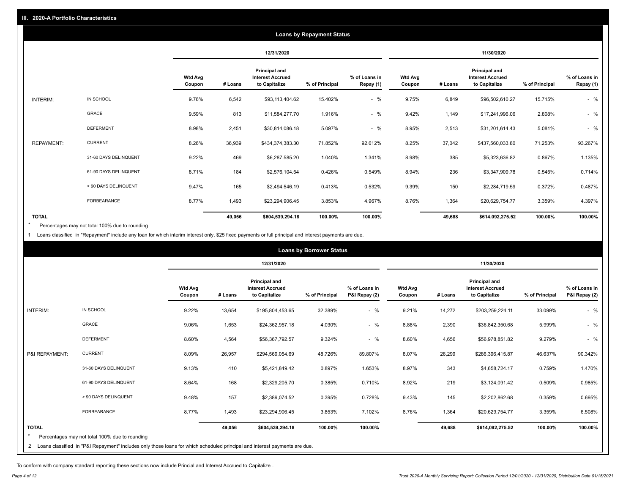|                   |                       |                          |         |                                                           | <b>Loans by Repayment Status</b> |                            |                   |         |                                                           |                |                            |
|-------------------|-----------------------|--------------------------|---------|-----------------------------------------------------------|----------------------------------|----------------------------|-------------------|---------|-----------------------------------------------------------|----------------|----------------------------|
|                   |                       |                          |         | 12/31/2020                                                |                                  |                            |                   |         | 11/30/2020                                                |                |                            |
|                   |                       | <b>Wtd Avg</b><br>Coupon | # Loans | Principal and<br><b>Interest Accrued</b><br>to Capitalize | % of Principal                   | % of Loans in<br>Repay (1) | Wtd Avg<br>Coupon | # Loans | Principal and<br><b>Interest Accrued</b><br>to Capitalize | % of Principal | % of Loans in<br>Repay (1) |
| INTERIM:          | IN SCHOOL             | 9.76%                    | 6,542   | \$93,113,404.62                                           | 15.402%                          | $-$ %                      | 9.75%             | 6,849   | \$96,502,610.27                                           | 15.715%        | $-$ %                      |
|                   | GRACE                 | 9.59%                    | 813     | \$11,584,277.70                                           | 1.916%                           | $-$ %                      | 9.42%             | 1,149   | \$17,241,996.06                                           | 2.808%         | $-$ %                      |
|                   | <b>DEFERMENT</b>      | 8.98%                    | 2,451   | \$30,814,086.18                                           | 5.097%                           | $-$ %                      | 8.95%             | 2,513   | \$31,201,614.43                                           | 5.081%         | $-$ %                      |
| <b>REPAYMENT:</b> | <b>CURRENT</b>        | 8.26%                    | 36,939  | \$434,374,383.30                                          | 71.852%                          | 92.612%                    | 8.25%             | 37,042  | \$437,560,033.80                                          | 71.253%        | 93.267%                    |
|                   | 31-60 DAYS DELINQUENT | 9.22%                    | 469     | \$6,287,585.20                                            | 1.040%                           | 1.341%                     | 8.98%             | 385     | \$5,323,636.82                                            | 0.867%         | 1.135%                     |
|                   | 61-90 DAYS DELINQUENT | 8.71%                    | 184     | \$2,576,104.54                                            | 0.426%                           | 0.549%                     | 8.94%             | 236     | \$3,347,909.78                                            | 0.545%         | 0.714%                     |
|                   | > 90 DAYS DELINQUENT  | 9.47%                    | 165     | \$2,494,546.19                                            | 0.413%                           | 0.532%                     | 9.39%             | 150     | \$2,284,719.59                                            | 0.372%         | 0.487%                     |
|                   | FORBEARANCE           | 8.77%                    | 1,493   | \$23,294,906.45                                           | 3.853%                           | 4.967%                     | 8.76%             | 1,364   | \$20,629,754.77                                           | 3.359%         | 4.397%                     |
| <b>TOTAL</b>      |                       |                          | 49,056  | \$604,539,294.18                                          | 100.00%                          | 100.00%                    |                   | 49,688  | \$614,092,275.52                                          | 100.00%        | 100.00%                    |

Percentages may not total 100% due to rounding \*

1 Loans classified in "Repayment" include any loan for which interim interest only, \$25 fixed payments or full principal and interest payments are due.

|                 |                                                                                                                              |                          |         |                                                                  | <b>Loans by Borrower Status</b> |                                |                          |         |                                                                  |                |                                |
|-----------------|------------------------------------------------------------------------------------------------------------------------------|--------------------------|---------|------------------------------------------------------------------|---------------------------------|--------------------------------|--------------------------|---------|------------------------------------------------------------------|----------------|--------------------------------|
|                 |                                                                                                                              |                          |         | 12/31/2020                                                       |                                 |                                | 11/30/2020               |         |                                                                  |                |                                |
|                 |                                                                                                                              | <b>Wtd Avg</b><br>Coupon | # Loans | <b>Principal and</b><br><b>Interest Accrued</b><br>to Capitalize | % of Principal                  | % of Loans in<br>P&I Repay (2) | <b>Wtd Avg</b><br>Coupon | # Loans | <b>Principal and</b><br><b>Interest Accrued</b><br>to Capitalize | % of Principal | % of Loans in<br>P&I Repay (2) |
| <b>INTERIM:</b> | IN SCHOOL                                                                                                                    | 9.22%                    | 13,654  | \$195,804,453.65                                                 | 32.389%                         | $-$ %                          | 9.21%                    | 14,272  | \$203,259,224.11                                                 | 33.099%        | $-$ %                          |
|                 | <b>GRACE</b>                                                                                                                 | 9.06%                    | 1,653   | \$24,362,957.18                                                  | 4.030%                          | $-$ %                          | 8.88%                    | 2,390   | \$36,842,350.68                                                  | 5.999%         | $-$ %                          |
|                 | <b>DEFERMENT</b>                                                                                                             | 8.60%                    | 4,564   | \$56,367,792.57                                                  | 9.324%                          | $-$ %                          | 8.60%                    | 4,656   | \$56,978,851.82                                                  | 9.279%         | $-$ %                          |
| P&I REPAYMENT:  | <b>CURRENT</b>                                                                                                               | 8.09%                    | 26,957  | \$294,569,054.69                                                 | 48.726%                         | 89.807%                        | 8.07%                    | 26,299  | \$286,396,415.87                                                 | 46.637%        | 90.342%                        |
|                 | 31-60 DAYS DELINQUENT                                                                                                        | 9.13%                    | 410     | \$5,421,849.42                                                   | 0.897%                          | 1.653%                         | 8.97%                    | 343     | \$4,658,724.17                                                   | 0.759%         | 1.470%                         |
|                 | 61-90 DAYS DELINQUENT                                                                                                        | 8.64%                    | 168     | \$2,329,205.70                                                   | 0.385%                          | 0.710%                         | 8.92%                    | 219     | \$3,124,091.42                                                   | 0.509%         | 0.985%                         |
|                 | > 90 DAYS DELINQUENT                                                                                                         | 9.48%                    | 157     | \$2,389,074.52                                                   | 0.395%                          | 0.728%                         | 9.43%                    | 145     | \$2,202,862.68                                                   | 0.359%         | 0.695%                         |
|                 | <b>FORBEARANCE</b>                                                                                                           | 8.77%                    | 1,493   | \$23,294,906.45                                                  | 3.853%                          | 7.102%                         | 8.76%                    | 1,364   | \$20,629,754.77                                                  | 3.359%         | 6.508%                         |
| <b>TOTAL</b>    | Percentages may not total 100% due to rounding                                                                               |                          | 49,056  | \$604,539,294.18                                                 | 100.00%                         | 100.00%                        |                          | 49,688  | \$614,092,275.52                                                 | 100.00%        | 100.00%                        |
|                 | 2 Loans classified in "P&I Repayment" includes only those loans for which scheduled principal and interest payments are due. |                          |         |                                                                  |                                 |                                |                          |         |                                                                  |                |                                |

To conform with company standard reporting these sections now include Princial and Interest Accrued to Capitalize .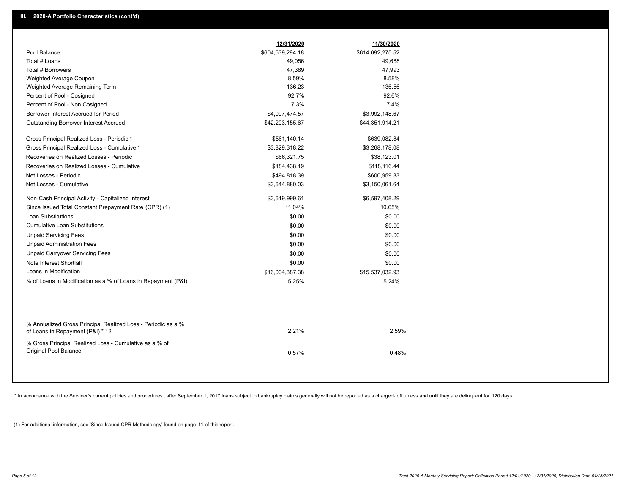|                                                                                                  | 12/31/2020       | 11/30/2020       |
|--------------------------------------------------------------------------------------------------|------------------|------------------|
| Pool Balance                                                                                     | \$604,539,294.18 | \$614,092,275.52 |
| Total # Loans                                                                                    | 49,056           | 49,688           |
| Total # Borrowers                                                                                | 47,389           | 47,993           |
| Weighted Average Coupon                                                                          | 8.59%            | 8.58%            |
| Weighted Average Remaining Term                                                                  | 136.23           | 136.56           |
| Percent of Pool - Cosigned                                                                       | 92.7%            | 92.6%            |
| Percent of Pool - Non Cosigned                                                                   | 7.3%             | 7.4%             |
| Borrower Interest Accrued for Period                                                             | \$4,097,474.57   | \$3,992,148.67   |
| <b>Outstanding Borrower Interest Accrued</b>                                                     | \$42,203,155.67  | \$44,351,914.21  |
| Gross Principal Realized Loss - Periodic *                                                       | \$561,140.14     | \$639,082.84     |
| Gross Principal Realized Loss - Cumulative *                                                     | \$3,829,318.22   | \$3,268,178.08   |
| Recoveries on Realized Losses - Periodic                                                         | \$66,321.75      | \$38,123.01      |
| Recoveries on Realized Losses - Cumulative                                                       | \$184,438.19     | \$118,116.44     |
| Net Losses - Periodic                                                                            | \$494,818.39     | \$600,959.83     |
| Net Losses - Cumulative                                                                          | \$3,644,880.03   | \$3,150,061.64   |
| Non-Cash Principal Activity - Capitalized Interest                                               | \$3,619,999.61   | \$6,597,408.29   |
| Since Issued Total Constant Prepayment Rate (CPR) (1)                                            | 11.04%           | 10.65%           |
| Loan Substitutions                                                                               | \$0.00           | \$0.00           |
| <b>Cumulative Loan Substitutions</b>                                                             | \$0.00           | \$0.00           |
| <b>Unpaid Servicing Fees</b>                                                                     | \$0.00           | \$0.00           |
| <b>Unpaid Administration Fees</b>                                                                | \$0.00           | \$0.00           |
| <b>Unpaid Carryover Servicing Fees</b>                                                           | \$0.00           | \$0.00           |
| Note Interest Shortfall                                                                          | \$0.00           | \$0.00           |
| Loans in Modification                                                                            | \$16,004,387.38  | \$15,537,032.93  |
| % of Loans in Modification as a % of Loans in Repayment (P&I)                                    | 5.25%            | 5.24%            |
|                                                                                                  |                  |                  |
| % Annualized Gross Principal Realized Loss - Periodic as a %<br>of Loans in Repayment (P&I) * 12 | 2.21%            | 2.59%            |
| % Gross Principal Realized Loss - Cumulative as a % of                                           |                  |                  |
| Original Pool Balance                                                                            | 0.57%            | 0.48%            |
|                                                                                                  |                  |                  |

\* In accordance with the Servicer's current policies and procedures, after September 1, 2017 loans subject to bankruptcy claims generally will not be reported as a charged- off unless and until they are delinquent for 120

(1) For additional information, see 'Since Issued CPR Methodology' found on page 11 of this report.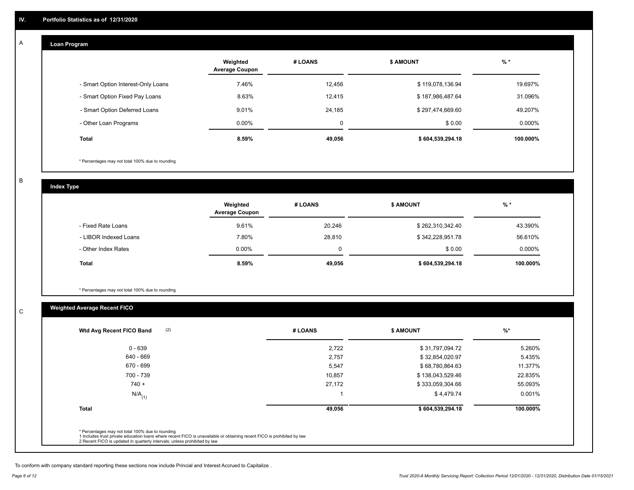#### **Loan Program**  A

|                                    | Weighted<br><b>Average Coupon</b> | # LOANS  | <b>\$ AMOUNT</b> | $%$ *    |
|------------------------------------|-----------------------------------|----------|------------------|----------|
| - Smart Option Interest-Only Loans | 7.46%                             | 12,456   | \$119,078,136.94 | 19.697%  |
| - Smart Option Fixed Pay Loans     | 8.63%                             | 12,415   | \$187,986,487.64 | 31.096%  |
| - Smart Option Deferred Loans      | 9.01%                             | 24.185   | \$297,474,669.60 | 49.207%  |
| - Other Loan Programs              | $0.00\%$                          | $\Omega$ | \$0.00           | 0.000%   |
| <b>Total</b>                       | 8.59%                             | 49,056   | \$604,539,294.18 | 100.000% |

\* Percentages may not total 100% due to rounding

B

C

**Index Type**

|                       | Weighted<br><b>Average Coupon</b> | # LOANS | <b>\$ AMOUNT</b> | % *       |
|-----------------------|-----------------------------------|---------|------------------|-----------|
| - Fixed Rate Loans    | 9.61%                             | 20,246  | \$262,310,342.40 | 43.390%   |
| - LIBOR Indexed Loans | 7.80%                             | 28,810  | \$342,228,951.78 | 56.610%   |
| - Other Index Rates   | $0.00\%$                          |         | \$0.00           | $0.000\%$ |
| Total                 | 8.59%                             | 49,056  | \$604,539,294.18 | 100.000%  |

\* Percentages may not total 100% due to rounding

## **Weighted Average Recent FICO**

| $0 - 639$            | 2,722  | \$31,797,094.72  | 5.260%   |
|----------------------|--------|------------------|----------|
| 640 - 669            | 2,757  | \$32,854,020.97  | 5.435%   |
| 670 - 699            | 5,547  | \$68,780,864.63  | 11.377%  |
| 700 - 739            | 10,857 | \$138,043,529.46 | 22.835%  |
| $740 +$              | 27,172 | \$333,059,304.66 | 55.093%  |
| $N/A$ <sub>(1)</sub> |        | \$4,479.74       | 0.001%   |
| <b>Total</b>         | 49,056 | \$604,539,294.18 | 100.000% |
|                      |        |                  |          |

To conform with company standard reporting these sections now include Princial and Interest Accrued to Capitalize .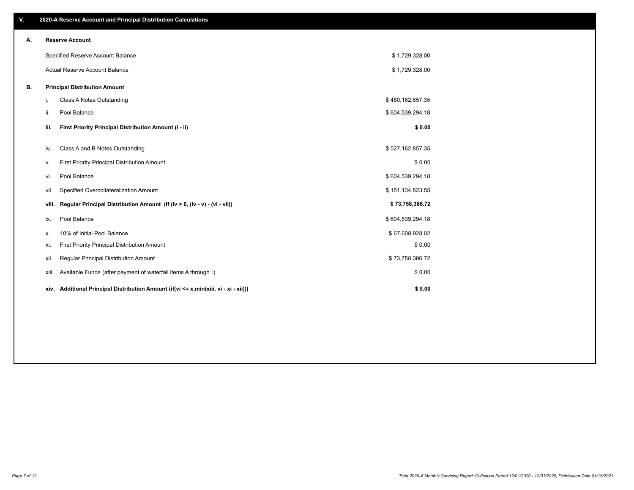| V. |       | 2020-A Reserve Account and Principal Distribution Calculations                       |                  |  |
|----|-------|--------------------------------------------------------------------------------------|------------------|--|
| А. |       | <b>Reserve Account</b>                                                               |                  |  |
|    |       | Specified Reserve Account Balance                                                    | \$1,729,328.00   |  |
|    |       | Actual Reserve Account Balance                                                       | \$1,729,328.00   |  |
| В. |       | <b>Principal Distribution Amount</b>                                                 |                  |  |
|    | i.    | Class A Notes Outstanding                                                            | \$480,162,857.35 |  |
|    | ii.   | Pool Balance                                                                         | \$604,539,294.18 |  |
|    | iii.  | First Priority Principal Distribution Amount (i - ii)                                | \$0.00           |  |
|    | iv.   | Class A and B Notes Outstanding                                                      | \$527,162,857.35 |  |
|    | ν.    | First Priority Principal Distribution Amount                                         | \$0.00           |  |
|    | vi.   | Pool Balance                                                                         | \$604,539,294.18 |  |
|    | Vii.  | Specified Overcollateralization Amount                                               | \$151,134,823.55 |  |
|    | viii. | Regular Principal Distribution Amount (if (iv > 0, (iv - v) - (vi - vii))            | \$73,758,386.72  |  |
|    | ix.   | Pool Balance                                                                         | \$604,539,294.18 |  |
|    | х.    | 10% of Initial Pool Balance                                                          | \$67,608,928.02  |  |
|    | xi.   | First Priority Principal Distribution Amount                                         | \$0.00           |  |
|    | xii.  | Regular Principal Distribution Amount                                                | \$73,758,386.72  |  |
|    | XIII. | Available Funds (after payment of waterfall items A through I)                       | \$0.00           |  |
|    |       | xiv. Additional Principal Distribution Amount (if(vi <= x,min(xiii, vi - xi - xii))) | \$0.00           |  |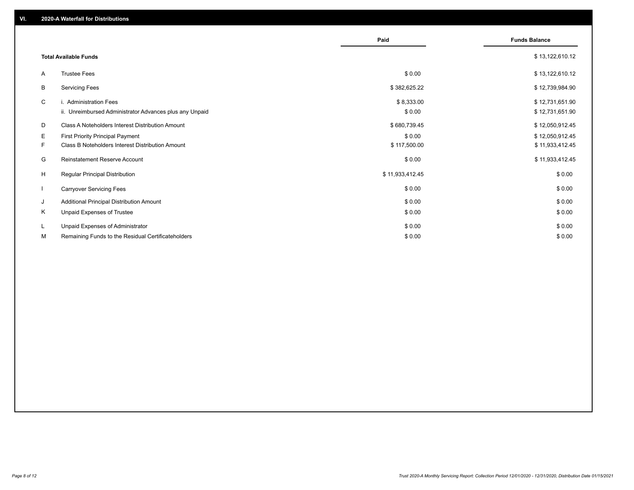|              |                                                                                             | Paid                   | <b>Funds Balance</b>               |
|--------------|---------------------------------------------------------------------------------------------|------------------------|------------------------------------|
|              | <b>Total Available Funds</b>                                                                |                        | \$13,122,610.12                    |
| A            | <b>Trustee Fees</b>                                                                         | \$0.00                 | \$13,122,610.12                    |
| B            | <b>Servicing Fees</b>                                                                       | \$382,625.22           | \$12,739,984.90                    |
| C            | i. Administration Fees<br>ii. Unreimbursed Administrator Advances plus any Unpaid           | \$8,333.00<br>\$0.00   | \$12,731,651.90<br>\$12,731,651.90 |
| D            | Class A Noteholders Interest Distribution Amount                                            | \$680,739.45           | \$12,050,912.45                    |
| Е<br>F.      | <b>First Priority Principal Payment</b><br>Class B Noteholders Interest Distribution Amount | \$0.00<br>\$117,500.00 | \$12,050,912.45<br>\$11,933,412.45 |
| G            | <b>Reinstatement Reserve Account</b>                                                        | \$0.00                 | \$11,933,412.45                    |
| H            | <b>Regular Principal Distribution</b>                                                       | \$11,933,412.45        | \$0.00                             |
| $\mathbf{I}$ | <b>Carryover Servicing Fees</b>                                                             | \$0.00                 | \$0.00                             |
| J            | Additional Principal Distribution Amount                                                    | \$0.00                 | \$0.00                             |
| Κ            | Unpaid Expenses of Trustee                                                                  | \$0.00                 | \$0.00                             |
| L            | Unpaid Expenses of Administrator                                                            | \$0.00                 | \$0.00                             |
| М            | Remaining Funds to the Residual Certificateholders                                          | \$0.00                 | \$0.00                             |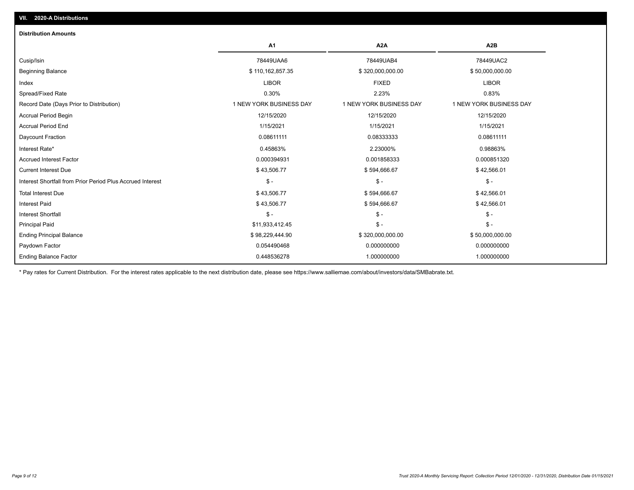| <b>Distribution Amounts</b>                                |                         |                         |                         |
|------------------------------------------------------------|-------------------------|-------------------------|-------------------------|
|                                                            | A <sub>1</sub>          | A <sub>2</sub> A        | A2B                     |
| Cusip/Isin                                                 | 78449UAA6               | 78449UAB4               | 78449UAC2               |
| <b>Beginning Balance</b>                                   | \$110,162,857.35        | \$320,000,000.00        | \$50,000,000.00         |
| Index                                                      | <b>LIBOR</b>            | <b>FIXED</b>            | <b>LIBOR</b>            |
| Spread/Fixed Rate                                          | 0.30%                   | 2.23%                   | 0.83%                   |
| Record Date (Days Prior to Distribution)                   | 1 NEW YORK BUSINESS DAY | 1 NEW YORK BUSINESS DAY | 1 NEW YORK BUSINESS DAY |
| <b>Accrual Period Begin</b>                                | 12/15/2020              | 12/15/2020              | 12/15/2020              |
| <b>Accrual Period End</b>                                  | 1/15/2021               | 1/15/2021               | 1/15/2021               |
| Daycount Fraction                                          | 0.08611111              | 0.08333333              | 0.08611111              |
| Interest Rate*                                             | 0.45863%                | 2.23000%                | 0.98863%                |
| <b>Accrued Interest Factor</b>                             | 0.000394931             | 0.001858333             | 0.000851320             |
| <b>Current Interest Due</b>                                | \$43,506.77             | \$594,666.67            | \$42,566.01             |
| Interest Shortfall from Prior Period Plus Accrued Interest | $\mathsf{\$}$ -         | $$ -$                   | $\frac{1}{2}$           |
| <b>Total Interest Due</b>                                  | \$43,506.77             | \$594,666.67            | \$42,566.01             |
| <b>Interest Paid</b>                                       | \$43,506.77             | \$594,666.67            | \$42,566.01             |
| <b>Interest Shortfall</b>                                  | $\mathsf{\$}$ -         | $$ -$                   | $$ -$                   |
| <b>Principal Paid</b>                                      | \$11,933,412.45         | $$ -$                   | $$ -$                   |
| <b>Ending Principal Balance</b>                            | \$98,229,444.90         | \$320,000,000.00        | \$50,000,000.00         |
| Paydown Factor                                             | 0.054490468             | 0.000000000             | 0.000000000             |
| <b>Ending Balance Factor</b>                               | 0.448536278             | 1.000000000             | 1.000000000             |

\* Pay rates for Current Distribution. For the interest rates applicable to the next distribution date, please see https://www.salliemae.com/about/investors/data/SMBabrate.txt.

**VII. 2020-A Distributions**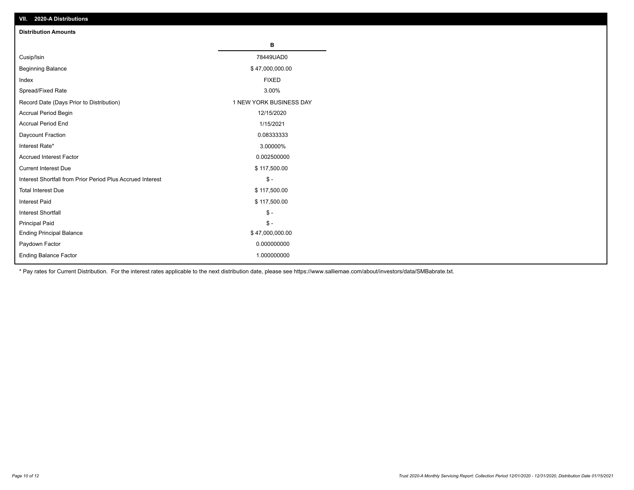| VII. 2020-A Distributions                                  |                         |
|------------------------------------------------------------|-------------------------|
| <b>Distribution Amounts</b>                                |                         |
|                                                            | В                       |
| Cusip/Isin                                                 | 78449UAD0               |
| <b>Beginning Balance</b>                                   | \$47,000,000.00         |
| Index                                                      | <b>FIXED</b>            |
| Spread/Fixed Rate                                          | 3.00%                   |
| Record Date (Days Prior to Distribution)                   | 1 NEW YORK BUSINESS DAY |
| Accrual Period Begin                                       | 12/15/2020              |
| <b>Accrual Period End</b>                                  | 1/15/2021               |
| Daycount Fraction                                          | 0.08333333              |
| Interest Rate*                                             | 3.00000%                |
| <b>Accrued Interest Factor</b>                             | 0.002500000             |
| <b>Current Interest Due</b>                                | \$117,500.00            |
| Interest Shortfall from Prior Period Plus Accrued Interest | $\mathsf{\$}$ -         |
| <b>Total Interest Due</b>                                  | \$117,500.00            |
| <b>Interest Paid</b>                                       | \$117,500.00            |
| Interest Shortfall                                         | $\mathbb{S}$ -          |
| <b>Principal Paid</b>                                      | $\frac{1}{2}$           |
| <b>Ending Principal Balance</b>                            | \$47,000,000.00         |
| Paydown Factor                                             | 0.000000000             |
| <b>Ending Balance Factor</b>                               | 1.000000000             |

\* Pay rates for Current Distribution. For the interest rates applicable to the next distribution date, please see https://www.salliemae.com/about/investors/data/SMBabrate.txt.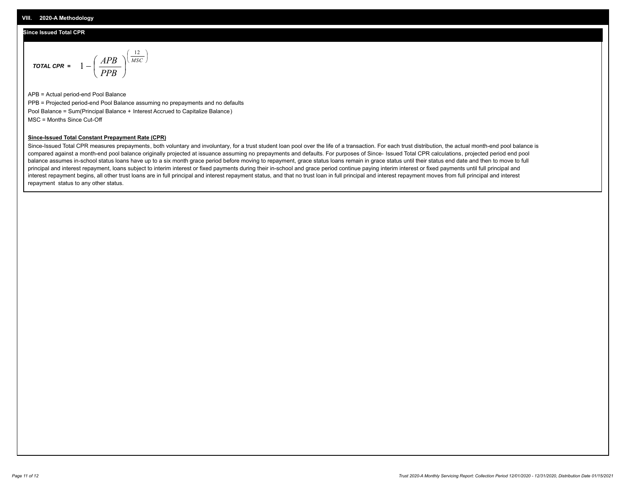#### **Since Issued Total CPR**

$$
\text{Total CPR} = 1 - \left(\frac{APB}{PPB}\right)^{\left(\frac{12}{MSC}\right)}
$$

APB = Actual period-end Pool Balance PPB = Projected period-end Pool Balance assuming no prepayments and no defaults Pool Balance = Sum(Principal Balance + Interest Accrued to Capitalize Balance) MSC = Months Since Cut-Off

#### **Since-Issued Total Constant Prepayment Rate (CPR)**

Since-Issued Total CPR measures prepayments, both voluntary and involuntary, for a trust student loan pool over the life of a transaction. For each trust distribution, the actual month-end pool balance is compared against a month-end pool balance originally projected at issuance assuming no prepayments and defaults. For purposes of Since- Issued Total CPR calculations, projected period end pool balance assumes in-school status loans have up to a six month grace period before moving to repayment, grace status loans remain in grace status until their status end date and then to move to full principal and interest repayment, loans subject to interim interest or fixed payments during their in-school and grace period continue paying interim interest or fixed payments until full principal and interest repayment begins, all other trust loans are in full principal and interest repayment status, and that no trust loan in full principal and interest repayment moves from full principal and interest repayment status to any other status.